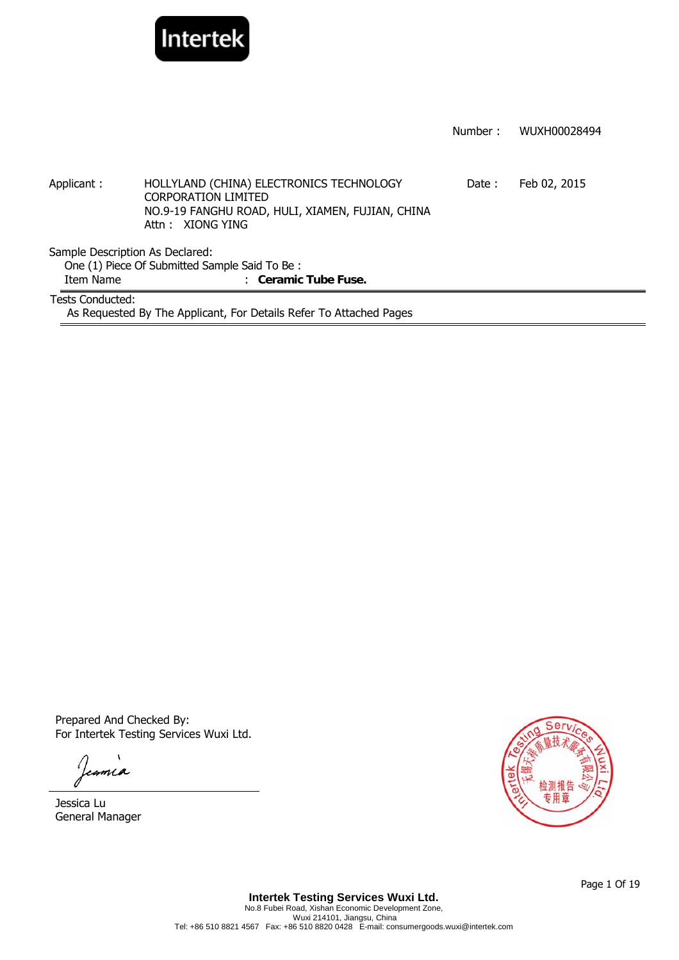

|                                 |                                                                                                    | Number: | WUXH00028494 |  |  |
|---------------------------------|----------------------------------------------------------------------------------------------------|---------|--------------|--|--|
|                                 |                                                                                                    |         |              |  |  |
| Applicant:                      | HOLLYLAND (CHINA) ELECTRONICS TECHNOLOGY                                                           | Date:   | Feb 02, 2015 |  |  |
|                                 | <b>CORPORATION LIMITED</b><br>NO.9-19 FANGHU ROAD, HULI, XIAMEN, FUJIAN, CHINA<br>Attn: XIONG YING |         |              |  |  |
| Sample Description As Declared: |                                                                                                    |         |              |  |  |
|                                 | One (1) Piece Of Submitted Sample Said To Be:                                                      |         |              |  |  |
| Item Name                       | : Ceramic Tube Fuse.                                                                               |         |              |  |  |
| Tests Conducted:                |                                                                                                    |         |              |  |  |
|                                 | As Requested By The Applicant, For Details Refer To Attached Pages                                 |         |              |  |  |

Prepared And Checked By: For Intertek Testing Services Wuxi Ltd.

Jeania

Jessica Lu General Manager

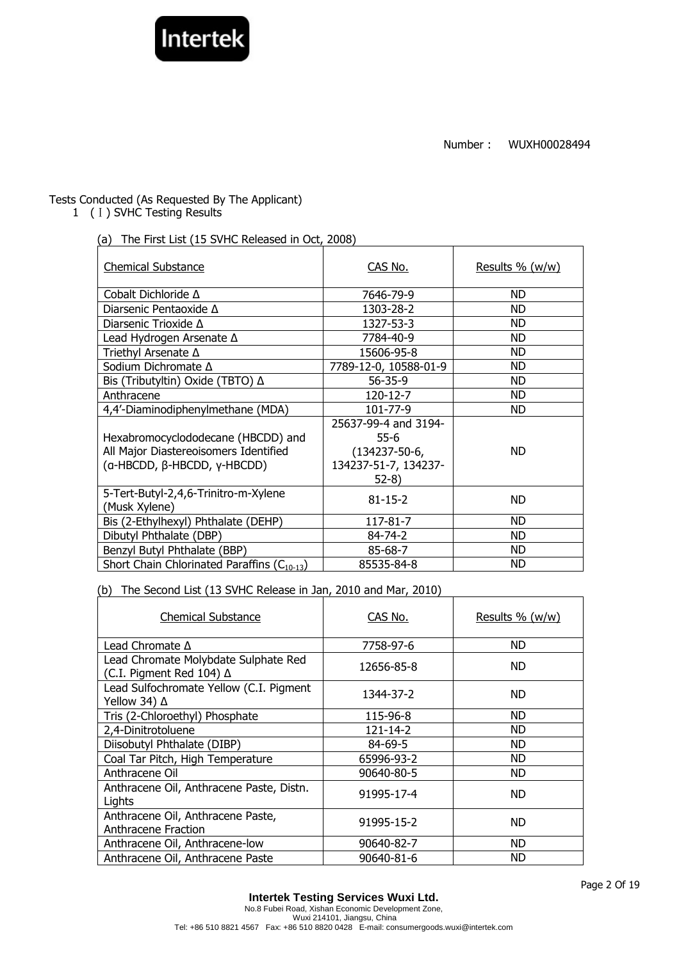

# Tests Conducted (As Requested By The Applicant)

1 (I) SVHC Testing Results

(a) The First List (15 SVHC Released in Oct, 2008)

| <b>Chemical Substance</b>                                                                                  | CAS No.                                                                                 | Results % (w/w) |
|------------------------------------------------------------------------------------------------------------|-----------------------------------------------------------------------------------------|-----------------|
| Cobalt Dichloride ∆                                                                                        | 7646-79-9                                                                               | ND.             |
| Diarsenic Pentaoxide $\Delta$                                                                              | 1303-28-2                                                                               | ND.             |
| Diarsenic Trioxide $\Delta$                                                                                | 1327-53-3                                                                               | <b>ND</b>       |
| Lead Hydrogen Arsenate ∆                                                                                   | 7784-40-9                                                                               | ND.             |
| Triethyl Arsenate ∆                                                                                        | 15606-95-8                                                                              | ND              |
| Sodium Dichromate Δ                                                                                        | 7789-12-0, 10588-01-9                                                                   | ND              |
| Bis (Tributyltin) Oxide (TBTO) ∆                                                                           | $56 - 35 - 9$                                                                           | ND.             |
| Anthracene                                                                                                 | $120 - 12 - 7$                                                                          | ND.             |
| 4,4'-Diaminodiphenylmethane (MDA)                                                                          | 101-77-9                                                                                | ND.             |
| Hexabromocyclododecane (HBCDD) and<br>All Major Diastereoisomers Identified<br>(a-HBCDD, β-HBCDD, γ-HBCDD) | 25637-99-4 and 3194-<br>$55-6$<br>$(134237 - 50 - 6,$<br>134237-51-7, 134237-<br>$52-8$ | ND.             |
| 5-Tert-Butyl-2,4,6-Trinitro-m-Xylene<br>(Musk Xylene)                                                      | $81 - 15 - 2$                                                                           | ND.             |
| Bis (2-Ethylhexyl) Phthalate (DEHP)                                                                        | 117-81-7                                                                                | ND.             |
| Dibutyl Phthalate (DBP)                                                                                    | $84 - 74 - 2$                                                                           | ND              |
| Benzyl Butyl Phthalate (BBP)                                                                               | 85-68-7                                                                                 | ND.             |
| Short Chain Chlorinated Paraffins (C <sub>10-13</sub> )                                                    | 85535-84-8                                                                              | <b>ND</b>       |

(b) The Second List (13 SVHC Release in Jan, 2010 and Mar, 2010)

| <b>Chemical Substance</b>                                        | CAS No.        | Results $% (w/w)$ |
|------------------------------------------------------------------|----------------|-------------------|
| Lead Chromate $\Delta$                                           | 7758-97-6      | ND                |
| Lead Chromate Molybdate Sulphate Red<br>(C.I. Pigment Red 104) ∆ | 12656-85-8     | ND.               |
| Lead Sulfochromate Yellow (C.I. Pigment<br>Yellow 34) ∆          | 1344-37-2      | ND.               |
| Tris (2-Chloroethyl) Phosphate                                   | 115-96-8       | ND                |
| 2,4-Dinitrotoluene                                               | $121 - 14 - 2$ | <b>ND</b>         |
| Diisobutyl Phthalate (DIBP)                                      | $84 - 69 - 5$  | <b>ND</b>         |
| Coal Tar Pitch, High Temperature                                 | 65996-93-2     | <b>ND</b>         |
| Anthracene Oil                                                   | 90640-80-5     | ND                |
| Anthracene Oil, Anthracene Paste, Distn.<br>Lights               | 91995-17-4     | <b>ND</b>         |
| Anthracene Oil, Anthracene Paste,<br>Anthracene Fraction         | 91995-15-2     | ND.               |
| Anthracene Oil, Anthracene-low                                   | 90640-82-7     | ND.               |
| Anthracene Oil, Anthracene Paste                                 | 90640-81-6     | <b>ND</b>         |

Page 2 Of 19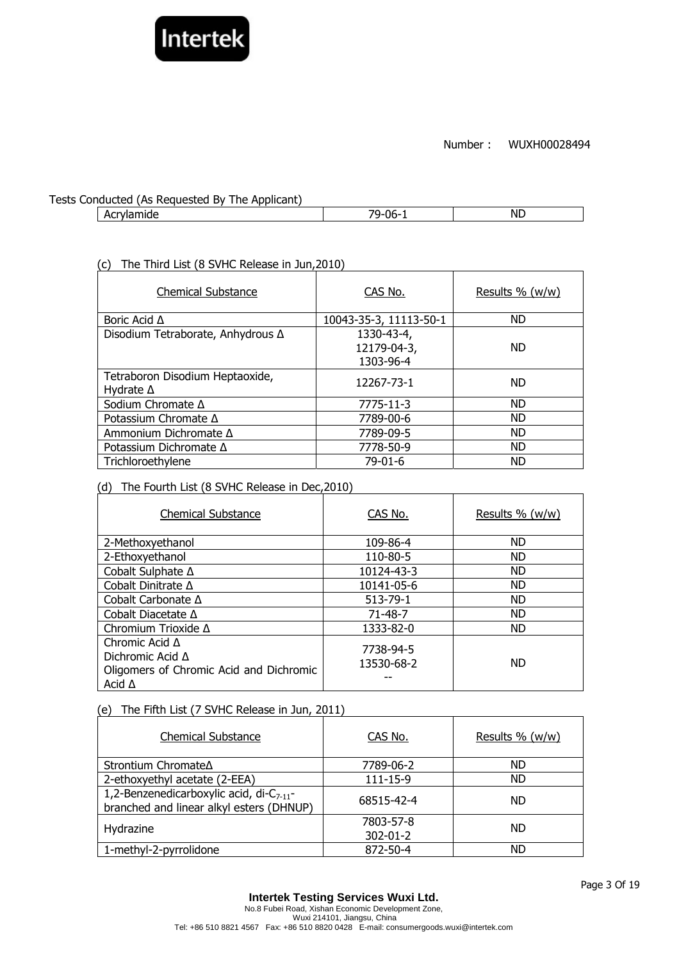

## Tests Conducted (As Requested By The Applicant)

Acrylamide ND

# (c) The Third List (8 SVHC Release in Jun,2010)

| <b>Chemical Substance</b>                           | CAS No.                                | Results % (w/w) |
|-----------------------------------------------------|----------------------------------------|-----------------|
| Boric Acid $\Delta$                                 | 10043-35-3, 11113-50-1                 | <b>ND</b>       |
| Disodium Tetraborate, Anhydrous ∆                   | 1330-43-4,<br>12179-04-3,<br>1303-96-4 | <b>ND</b>       |
| Tetraboron Disodium Heptaoxide,<br>Hydrate $\Delta$ | 12267-73-1                             | <b>ND</b>       |
| Sodium Chromate Δ                                   | 7775-11-3                              | <b>ND</b>       |
| Potassium Chromate $\Delta$                         | 7789-00-6                              | <b>ND</b>       |
| Ammonium Dichromate Δ                               | 7789-09-5                              | <b>ND</b>       |
| Potassium Dichromate ∆                              | 7778-50-9                              | <b>ND</b>       |
| Trichloroethylene                                   | $79-01-6$                              | <b>ND</b>       |

# (d) The Fourth List (8 SVHC Release in Dec,2010)

| <b>Chemical Substance</b>                                                                                    | CAS No.                 | Results % (w/w) |
|--------------------------------------------------------------------------------------------------------------|-------------------------|-----------------|
| 2-Methoxyethanol                                                                                             | 109-86-4                | <b>ND</b>       |
| 2-Ethoxyethanol                                                                                              | 110-80-5                | <b>ND</b>       |
| Cobalt Sulphate ∆                                                                                            | 10124-43-3              | <b>ND</b>       |
| Cobalt Dinitrate ∆                                                                                           | 10141-05-6              | <b>ND</b>       |
| Cobalt Carbonate $\Delta$                                                                                    | $513 - 79 - 1$          | <b>ND</b>       |
| Cobalt Diacetate $\Delta$                                                                                    | $71 - 48 - 7$           | <b>ND</b>       |
| Chromium Trioxide Δ                                                                                          | 1333-82-0               | <b>ND</b>       |
| Chromic Acid $\Delta$<br>Dichromic Acid $\Delta$<br>Oligomers of Chromic Acid and Dichromic<br>Acid $\Delta$ | 7738-94-5<br>13530-68-2 | <b>ND</b>       |

## (e) The Fifth List (7 SVHC Release in Jun, 2011)

| <b>Chemical Substance</b>                                                                  | CAS No.                     | Results % (w/w) |
|--------------------------------------------------------------------------------------------|-----------------------------|-----------------|
| Strontium Chromate∆                                                                        | 7789-06-2                   | <b>ND</b>       |
| 2-ethoxyethyl acetate (2-EEA)                                                              | $111 - 15 - 9$              | <b>ND</b>       |
| 1,2-Benzenedicarboxylic acid, di- $C_{7-11}$ -<br>branched and linear alkyl esters (DHNUP) | 68515-42-4                  | ND.             |
| Hydrazine                                                                                  | 7803-57-8<br>$302 - 01 - 2$ | <b>ND</b>       |
| 1-methyl-2-pyrrolidone                                                                     | 872-50-4                    | ND              |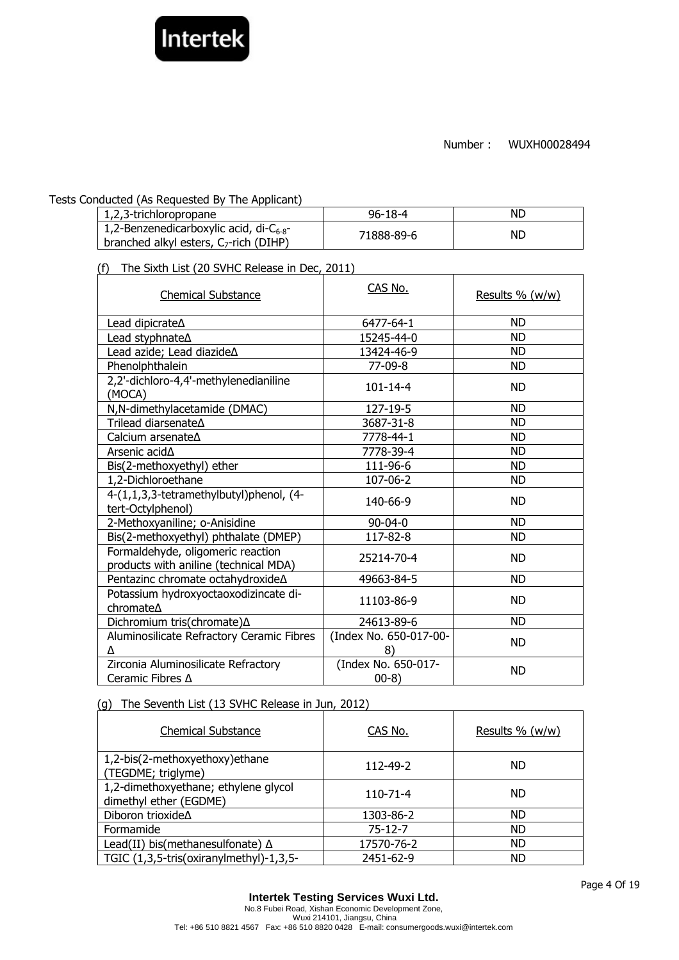

## Tests Conducted (As Requested By The Applicant)

| 1,2,3-trichloropropane                                                                       | $96 - 18 - 4$ | ND. |
|----------------------------------------------------------------------------------------------|---------------|-----|
| 1,2-Benzenedicarboxylic acid, di- $C_{6-8}$ -<br>  branched alkyl esters, $C_7$ -rich (DIHP) | 71888-89-6    | NL. |

(f) The Sixth List (20 SVHC Release in Dec, 2011)

| <b>Chemical Substance</b>                                                  | CAS No.                       | Results % (w/w) |
|----------------------------------------------------------------------------|-------------------------------|-----------------|
| Lead dipicrate $\Delta$                                                    | 6477-64-1                     | <b>ND</b>       |
|                                                                            | 15245-44-0                    | <b>ND</b>       |
| Lead azide; Lead diazideA                                                  | 13424-46-9                    | <b>ND</b>       |
| Phenolphthalein                                                            | $77-09-8$                     | <b>ND</b>       |
| 2,2'-dichloro-4,4'-methylenedianiline<br>(MOCA)                            | $101 - 14 - 4$                | <b>ND</b>       |
| N,N-dimethylacetamide (DMAC)                                               | 127-19-5                      | <b>ND</b>       |
| Trilead diarsenate∆                                                        | 3687-31-8                     | <b>ND</b>       |
| Calcium arsenate∆                                                          | 7778-44-1                     | <b>ND</b>       |
| Arsenic acid $\Delta$                                                      | 7778-39-4                     | ND              |
| Bis(2-methoxyethyl) ether                                                  | 111-96-6                      | <b>ND</b>       |
| 1,2-Dichloroethane                                                         | 107-06-2                      | <b>ND</b>       |
| 4-(1,1,3,3-tetramethylbutyl)phenol, (4-<br>tert-Octylphenol)               | 140-66-9                      | <b>ND</b>       |
| 2-Methoxyaniline; o-Anisidine                                              | $90 - 04 - 0$                 | <b>ND</b>       |
| Bis(2-methoxyethyl) phthalate (DMEP)                                       | 117-82-8                      | <b>ND</b>       |
| Formaldehyde, oligomeric reaction<br>products with aniline (technical MDA) | 25214-70-4                    | <b>ND</b>       |
| Pentazinc chromate octahydroxide∆                                          | 49663-84-5                    | <b>ND</b>       |
| Potassium hydroxyoctaoxodizincate di-<br>chromate∆                         | 11103-86-9                    | <b>ND</b>       |
| Dichromium tris(chromate) A                                                | 24613-89-6                    | <b>ND</b>       |
| Aluminosilicate Refractory Ceramic Fibres<br>Λ                             | (Index No. 650-017-00-<br>8)  | <b>ND</b>       |
| Zirconia Aluminosilicate Refractory<br>Ceramic Fibres $\Delta$             | (Index No. 650-017-<br>$00-8$ | <b>ND</b>       |

# (g) The Seventh List (13 SVHC Release in Jun, 2012)

| <b>Chemical Substance</b>                                      | CAS No.       | Results % (w/w) |
|----------------------------------------------------------------|---------------|-----------------|
| 1,2-bis(2-methoxyethoxy) ethane<br>(TEGDME; triglyme)          | 112-49-2      | <b>ND</b>       |
| 1,2-dimethoxyethane; ethylene glycol<br>dimethyl ether (EGDME) | 110-71-4      | <b>ND</b>       |
| Diboron trioxide∆                                              | 1303-86-2     | <b>ND</b>       |
| Formamide                                                      | $75 - 12 - 7$ | <b>ND</b>       |
| Lead(II) bis(methanesulfonate) $\Delta$                        | 17570-76-2    | <b>ND</b>       |
| TGIC (1,3,5-tris(oxiranylmethyl)-1,3,5-                        | 2451-62-9     | <b>ND</b>       |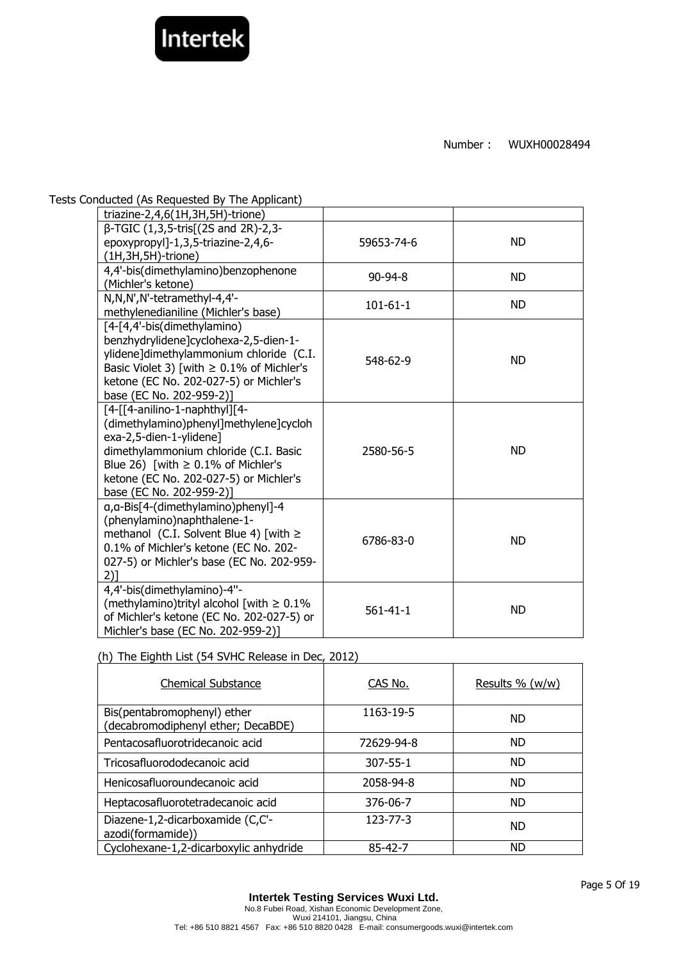

Tests Conducted (As Requested By The Applicant)

| triazine-2,4,6(1H,3H,5H)-trione)                                                                                                                                                                                                                             |                |           |
|--------------------------------------------------------------------------------------------------------------------------------------------------------------------------------------------------------------------------------------------------------------|----------------|-----------|
| β-TGIC (1,3,5-tris[(2S and 2R)-2,3-<br>epoxypropyl]-1,3,5-triazine-2,4,6-<br>$(1H, 3H, 5H)$ -trione)                                                                                                                                                         | 59653-74-6     | <b>ND</b> |
| 4,4'-bis(dimethylamino)benzophenone<br>(Michler's ketone)                                                                                                                                                                                                    | $90 - 94 - 8$  | <b>ND</b> |
| N,N,N',N'-tetramethyl-4,4'-<br>methylenedianiline (Michler's base)                                                                                                                                                                                           | $101 - 61 - 1$ | <b>ND</b> |
| [4-[4,4'-bis(dimethylamino)<br>benzhydrylidene]cyclohexa-2,5-dien-1-<br>ylidene]dimethylammonium chloride (C.I.<br>Basic Violet 3) [with $\geq 0.1\%$ of Michler's<br>ketone (EC No. 202-027-5) or Michler's<br>base (EC No. 202-959-2)]                     | 548-62-9       | <b>ND</b> |
| [4-[[4-anilino-1-naphthyl][4-<br>(dimethylamino)phenyl]methylene]cycloh<br>exa-2,5-dien-1-ylidene]<br>dimethylammonium chloride (C.I. Basic<br>Blue 26) [with $\geq$ 0.1% of Michler's<br>ketone (EC No. 202-027-5) or Michler's<br>base (EC No. 202-959-2)] | 2580-56-5      | <b>ND</b> |
| a, a-Bis[4-(dimethylamino)phenyl]-4<br>(phenylamino)naphthalene-1-<br>methanol (C.I. Solvent Blue 4) [with $\ge$<br>0.1% of Michler's ketone (EC No. 202-<br>027-5) or Michler's base (EC No. 202-959-<br>$2)$ ]                                             | 6786-83-0      | <b>ND</b> |
| 4,4'-bis(dimethylamino)-4"-<br>(methylamino)trityl alcohol [with $\geq 0.1\%$<br>of Michler's ketone (EC No. 202-027-5) or<br>Michler's base (EC No. 202-959-2)]                                                                                             | $561 - 41 - 1$ | <b>ND</b> |

# (h) The Eighth List (54 SVHC Release in Dec, 2012)

| <b>Chemical Substance</b>                                         | CAS No.        | Results $\%$ (w/w) |
|-------------------------------------------------------------------|----------------|--------------------|
| Bis(pentabromophenyl) ether<br>(decabromodiphenyl ether; DecaBDE) | 1163-19-5      | <b>ND</b>          |
| Pentacosafluorotridecanoic acid                                   | 72629-94-8     | <b>ND</b>          |
| Tricosafluorododecanoic acid                                      | $307 - 55 - 1$ | <b>ND</b>          |
| Henicosafluoroundecanoic acid                                     | 2058-94-8      | <b>ND</b>          |
| Heptacosafluorotetradecanoic acid                                 | 376-06-7       | <b>ND</b>          |
| Diazene-1,2-dicarboxamide (C,C'-<br>azodi(formamide))             | $123 - 77 - 3$ | <b>ND</b>          |
| Cyclohexane-1,2-dicarboxylic anhydride                            | 85-42-7        | <b>ND</b>          |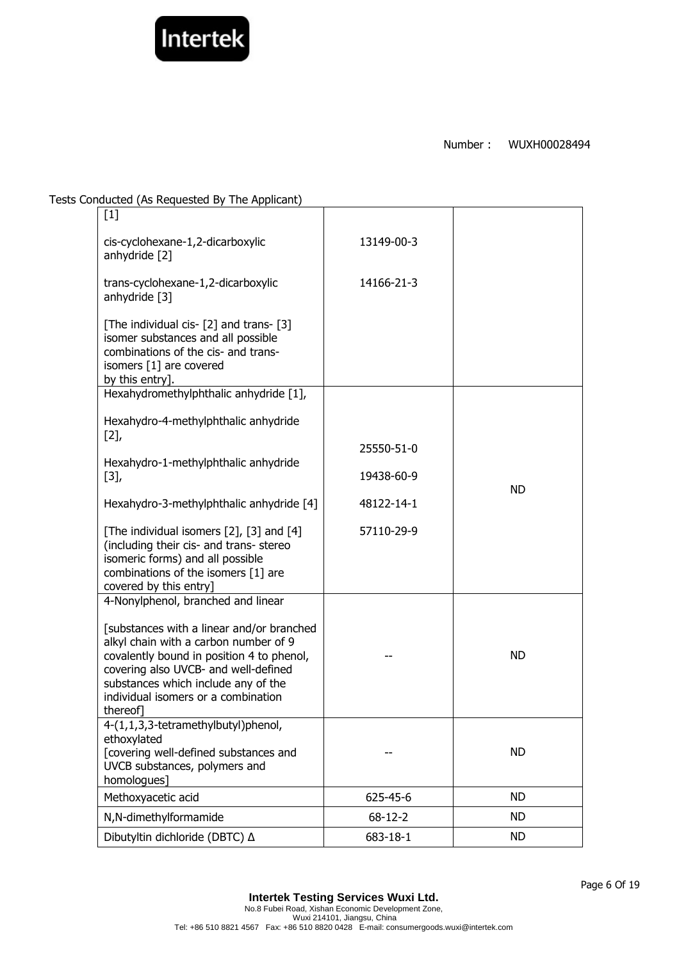

Tests Conducted (As Requested By The Applicant)

| $[1]$                                                                                                                                                                                                                                                            |               |           |
|------------------------------------------------------------------------------------------------------------------------------------------------------------------------------------------------------------------------------------------------------------------|---------------|-----------|
| cis-cyclohexane-1,2-dicarboxylic<br>anhydride [2]                                                                                                                                                                                                                | 13149-00-3    |           |
| trans-cyclohexane-1,2-dicarboxylic<br>anhydride [3]                                                                                                                                                                                                              | 14166-21-3    |           |
| [The individual cis- [2] and trans- [3]<br>isomer substances and all possible<br>combinations of the cis- and trans-<br>isomers [1] are covered<br>by this entry].                                                                                               |               |           |
| Hexahydromethylphthalic anhydride [1],                                                                                                                                                                                                                           |               |           |
| Hexahydro-4-methylphthalic anhydride                                                                                                                                                                                                                             |               |           |
| [2]                                                                                                                                                                                                                                                              | 25550-51-0    |           |
| Hexahydro-1-methylphthalic anhydride                                                                                                                                                                                                                             |               |           |
| $[3],$                                                                                                                                                                                                                                                           | 19438-60-9    | <b>ND</b> |
| Hexahydro-3-methylphthalic anhydride [4]                                                                                                                                                                                                                         | 48122-14-1    |           |
| [The individual isomers [2], [3] and [4]<br>(including their cis- and trans- stereo<br>isomeric forms) and all possible<br>combinations of the isomers [1] are<br>covered by this entry]                                                                         | 57110-29-9    |           |
| 4-Nonylphenol, branched and linear                                                                                                                                                                                                                               |               |           |
| [substances with a linear and/or branched<br>alkyl chain with a carbon number of 9<br>covalently bound in position 4 to phenol,<br>covering also UVCB- and well-defined<br>substances which include any of the<br>individual isomers or a combination<br>thereof |               | <b>ND</b> |
| 4-(1,1,3,3-tetramethylbutyl)phenol,<br>ethoxylated<br>[covering well-defined substances and<br>UVCB substances, polymers and<br>homologues]                                                                                                                      |               | <b>ND</b> |
| Methoxyacetic acid                                                                                                                                                                                                                                               | 625-45-6      | <b>ND</b> |
| N,N-dimethylformamide                                                                                                                                                                                                                                            | $68 - 12 - 2$ | <b>ND</b> |
| Dibutyltin dichloride (DBTC) △                                                                                                                                                                                                                                   | 683-18-1      | ND.       |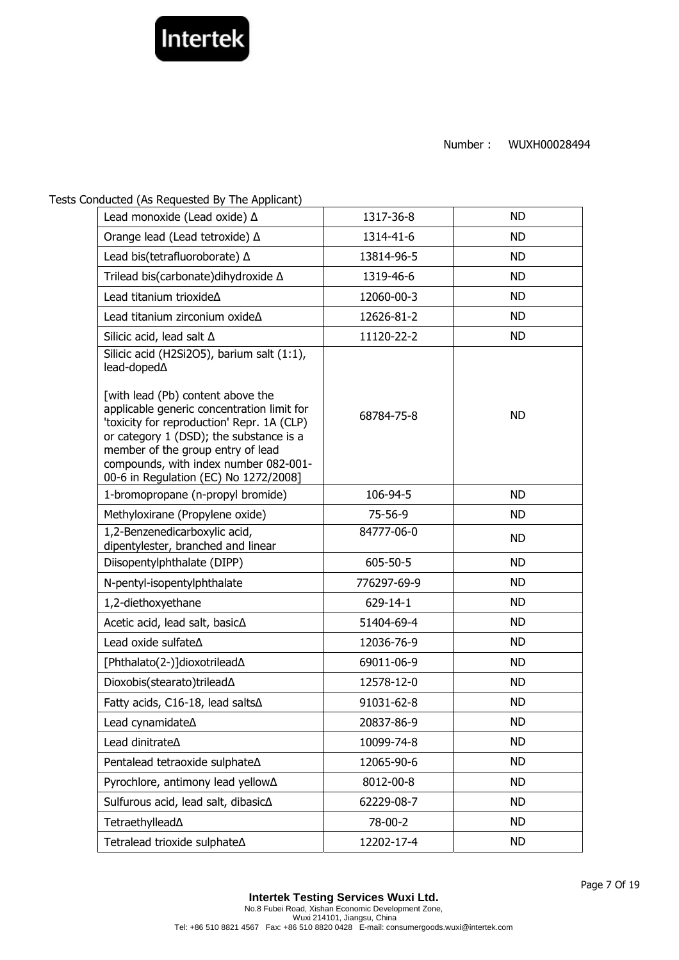

Tests Conducted (As Requested By The Applicant)

| Lead monoxide (Lead oxide) $\Delta$                                                                                                                                                                          | 1317-36-8     | <b>ND</b> |
|--------------------------------------------------------------------------------------------------------------------------------------------------------------------------------------------------------------|---------------|-----------|
| Orange lead (Lead tetroxide) ∆                                                                                                                                                                               | 1314-41-6     | <b>ND</b> |
| Lead bis(tetrafluoroborate) A                                                                                                                                                                                | 13814-96-5    | <b>ND</b> |
| Trilead bis(carbonate)dihydroxide ∆                                                                                                                                                                          | 1319-46-6     | <b>ND</b> |
| Lead titanium trioxideA                                                                                                                                                                                      | 12060-00-3    | <b>ND</b> |
| Lead titanium zirconium oxideA                                                                                                                                                                               | 12626-81-2    | <b>ND</b> |
| Silicic acid, lead salt $\Delta$                                                                                                                                                                             | 11120-22-2    | <b>ND</b> |
| Silicic acid (H2Si2O5), barium salt (1:1),<br>lead-doped $\Delta$<br>[with lead (Pb) content above the<br>applicable generic concentration limit for                                                         |               |           |
| 'toxicity for reproduction' Repr. 1A (CLP)<br>or category 1 (DSD); the substance is a<br>member of the group entry of lead<br>compounds, with index number 082-001-<br>00-6 in Regulation (EC) No 1272/2008] | 68784-75-8    | <b>ND</b> |
| 1-bromopropane (n-propyl bromide)                                                                                                                                                                            | 106-94-5      | <b>ND</b> |
| Methyloxirane (Propylene oxide)                                                                                                                                                                              | $75 - 56 - 9$ | <b>ND</b> |
| 1,2-Benzenedicarboxylic acid,<br>dipentylester, branched and linear                                                                                                                                          | 84777-06-0    | <b>ND</b> |
| Diisopentylphthalate (DIPP)                                                                                                                                                                                  | 605-50-5      | <b>ND</b> |
| N-pentyl-isopentylphthalate                                                                                                                                                                                  | 776297-69-9   | <b>ND</b> |
| 1,2-diethoxyethane                                                                                                                                                                                           | 629-14-1      | <b>ND</b> |
| Acetic acid, lead salt, basic∆                                                                                                                                                                               | 51404-69-4    | <b>ND</b> |
| Lead oxide sulfate A                                                                                                                                                                                         | 12036-76-9    | <b>ND</b> |
| [Phthalato(2-)]dioxotrilead∆                                                                                                                                                                                 | 69011-06-9    | <b>ND</b> |
| Dioxobis(stearato)trilead∆                                                                                                                                                                                   | 12578-12-0    | <b>ND</b> |
| Fatty acids, C16-18, lead salts∆                                                                                                                                                                             | 91031-62-8    | <b>ND</b> |
| Lead cynamidateA                                                                                                                                                                                             | 20837-86-9    | ND.       |
| Lead dinitrate <sup><math>\Delta</math></sup>                                                                                                                                                                | 10099-74-8    | <b>ND</b> |
| Pentalead tetraoxide sulphate∆                                                                                                                                                                               | 12065-90-6    | <b>ND</b> |
| Pyrochlore, antimony lead yellow∆                                                                                                                                                                            | 8012-00-8     | ND        |
| Sulfurous acid, lead salt, dibasic∆                                                                                                                                                                          | 62229-08-7    | ND        |
| Tetraethyllead∆                                                                                                                                                                                              | 78-00-2       | <b>ND</b> |
| Tetralead trioxide sulphate∆                                                                                                                                                                                 | 12202-17-4    | <b>ND</b> |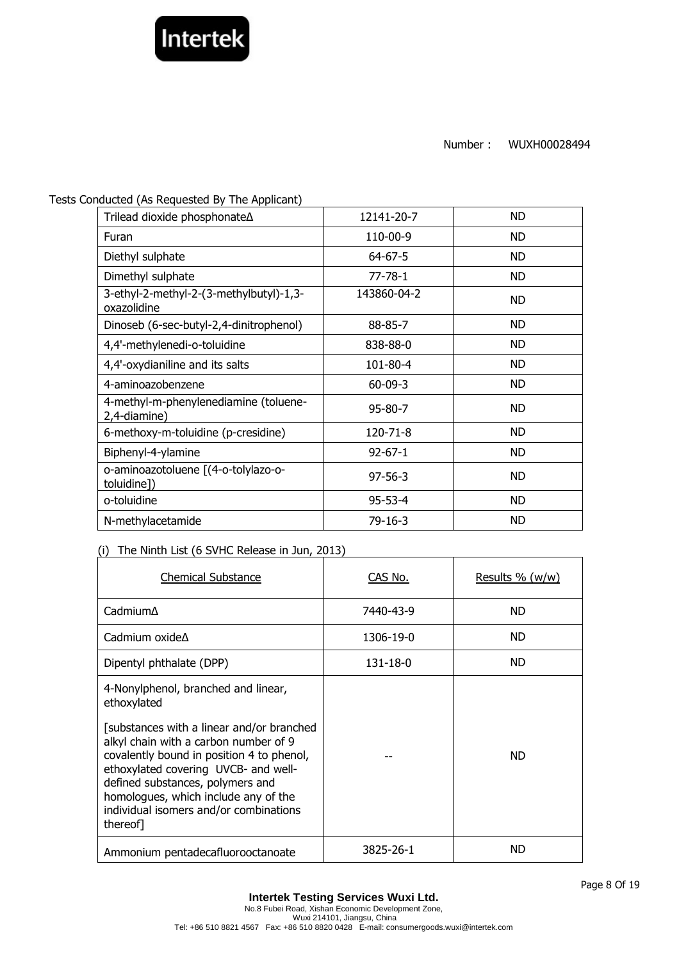

Tests Conducted (As Requested By The Applicant)

| Trilead dioxide phosphonate∆                           | 12141-20-7    | <b>ND</b> |
|--------------------------------------------------------|---------------|-----------|
| Furan                                                  | 110-00-9      | <b>ND</b> |
| Diethyl sulphate                                       | $64 - 67 - 5$ | ND.       |
| Dimethyl sulphate                                      | $77 - 78 - 1$ | ND.       |
| 3-ethyl-2-methyl-2-(3-methylbutyl)-1,3-<br>oxazolidine | 143860-04-2   | <b>ND</b> |
| Dinoseb (6-sec-butyl-2,4-dinitrophenol)                | 88-85-7       | <b>ND</b> |
| 4,4'-methylenedi-o-toluidine                           | 838-88-0      | <b>ND</b> |
| 4,4'-oxydianiline and its salts                        | 101-80-4      | <b>ND</b> |
| 4-aminoazobenzene                                      | $60 - 09 - 3$ | <b>ND</b> |
| 4-methyl-m-phenylenediamine (toluene-<br>2,4-diamine)  | $95 - 80 - 7$ | <b>ND</b> |
| 6-methoxy-m-toluidine (p-cresidine)                    | 120-71-8      | <b>ND</b> |
| Biphenyl-4-ylamine                                     | $92 - 67 - 1$ | <b>ND</b> |
| o-aminoazotoluene [(4-o-tolylazo-o-<br>toluidine])     | $97 - 56 - 3$ | ND.       |
| o-toluidine                                            | $95 - 53 - 4$ | <b>ND</b> |
| N-methylacetamide                                      | 79-16-3       | <b>ND</b> |

# (i) The Ninth List (6 SVHC Release in Jun, 2013)

| <b>Chemical Substance</b>                                                                                                                                                                                                                                                                                                                                       | CAS No.   | Results % (w/w) |
|-----------------------------------------------------------------------------------------------------------------------------------------------------------------------------------------------------------------------------------------------------------------------------------------------------------------------------------------------------------------|-----------|-----------------|
| $C$ admium $\Delta$                                                                                                                                                                                                                                                                                                                                             | 7440-43-9 | <b>ND</b>       |
| Cadmium oxide $\Delta$                                                                                                                                                                                                                                                                                                                                          | 1306-19-0 | ND.             |
| Dipentyl phthalate (DPP)                                                                                                                                                                                                                                                                                                                                        | 131-18-0  | ND.             |
| 4-Nonylphenol, branched and linear,<br>ethoxylated<br>[substances with a linear and/or branched]<br>alkyl chain with a carbon number of 9<br>covalently bound in position 4 to phenol,<br>ethoxylated covering UVCB- and well-<br>defined substances, polymers and<br>homologues, which include any of the<br>individual isomers and/or combinations<br>thereof |           | ND.             |
| Ammonium pentadecafluorooctanoate                                                                                                                                                                                                                                                                                                                               | 3825-26-1 | ND              |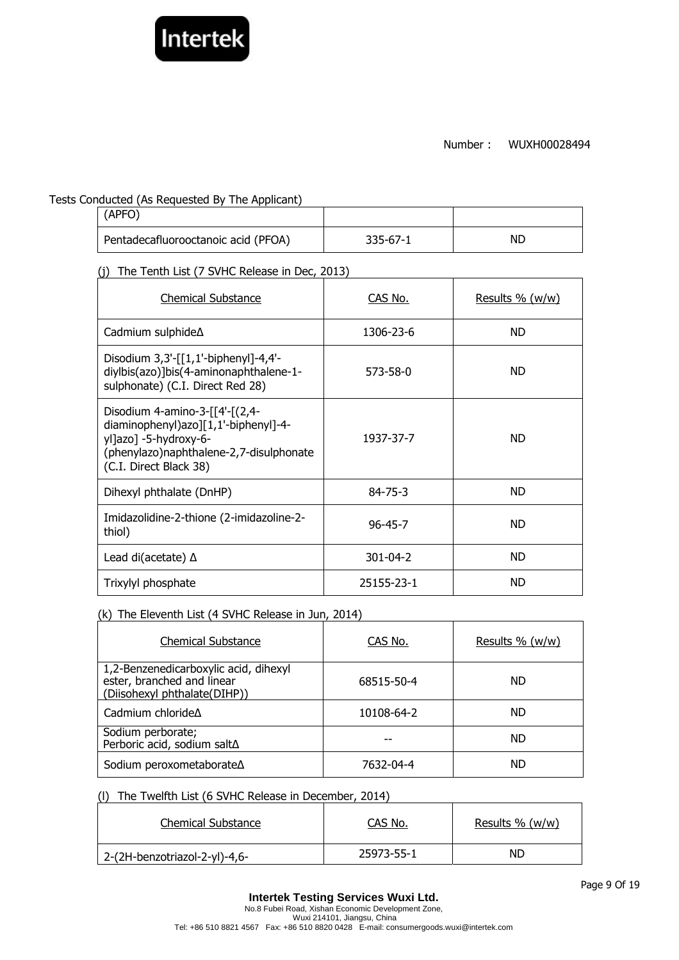

Tests Conducted (As Requested By The Applicant)

| (APFO)                              |          |    |
|-------------------------------------|----------|----|
| Pentadecafluorooctanoic acid (PFOA) | 335-67-1 | ND |

(j) The Tenth List (7 SVHC Release in Dec, 2013)

| <b>Chemical Substance</b>                                                                                                                                            | CAS No.        | <u>Results % (w/w)</u> |
|----------------------------------------------------------------------------------------------------------------------------------------------------------------------|----------------|------------------------|
| Cadmium sulphide∆                                                                                                                                                    | 1306-23-6      | ND.                    |
| Disodium 3,3'-[[1,1'-biphenyl]-4,4'-<br>diylbis(azo)]bis(4-aminonaphthalene-1-<br>sulphonate) (C.I. Direct Red 28)                                                   | 573-58-0       | ND.                    |
| Disodium 4-amino-3-[[4'-[(2,4-<br>diaminophenyl)azo][1,1'-biphenyl]-4-<br>yl]azo] -5-hydroxy-6-<br>(phenylazo)naphthalene-2,7-disulphonate<br>(C.I. Direct Black 38) | 1937-37-7      | ND.                    |
| Dihexyl phthalate (DnHP)                                                                                                                                             | $84 - 75 - 3$  | ND.                    |
| Imidazolidine-2-thione (2-imidazoline-2-<br>thiol)                                                                                                                   | $96 - 45 - 7$  | ND.                    |
| Lead di(acetate) $\Delta$                                                                                                                                            | $301 - 04 - 2$ | ND.                    |
| Trixylyl phosphate                                                                                                                                                   | 25155-23-1     | ND.                    |

# (k) The Eleventh List (4 SVHC Release in Jun, 2014)

| <b>Chemical Substance</b>                                                                           | CAS No.    | Results % (w/w) |
|-----------------------------------------------------------------------------------------------------|------------|-----------------|
| 1,2-Benzenedicarboxylic acid, dihexyl<br>ester, branched and linear<br>(Diisohexyl phthalate(DIHP)) | 68515-50-4 | ND.             |
| Cadmium chloride $\Delta$                                                                           | 10108-64-2 | ND.             |
| Sodium perborate;<br>Perboric acid, sodium salt∆                                                    |            | ND.             |
| Sodium peroxometaborate∆                                                                            | 7632-04-4  | ND              |

# (l) The Twelfth List (6 SVHC Release in December, 2014)

| <b>Chemical Substance</b>     | CAS No.    | Results $% (w/w)$ |
|-------------------------------|------------|-------------------|
| 2-(2H-benzotriazol-2-yl)-4,6- | 25973-55-1 | ND                |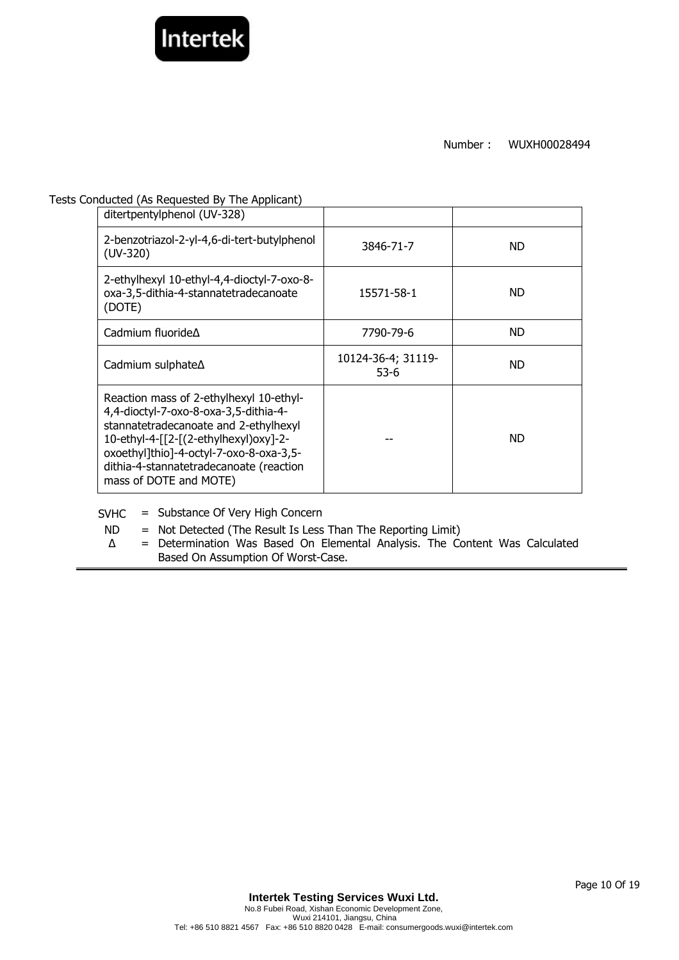

#### Tests Conducted (As Requested By The Applicant)

| ditertpentylphenol (UV-328)                                                                                                                                                                                                                                                        |                            |           |
|------------------------------------------------------------------------------------------------------------------------------------------------------------------------------------------------------------------------------------------------------------------------------------|----------------------------|-----------|
| 2-benzotriazol-2-yl-4,6-di-tert-butylphenol<br>$(UV-320)$                                                                                                                                                                                                                          | 3846-71-7                  | <b>ND</b> |
| 2-ethylhexyl 10-ethyl-4,4-dioctyl-7-oxo-8-<br>oxa-3,5-dithia-4-stannatetradecanoate<br>(DOTE)                                                                                                                                                                                      | 15571-58-1                 | <b>ND</b> |
| Cadmium fluoride A                                                                                                                                                                                                                                                                 | 7790-79-6                  | <b>ND</b> |
| Cadmium sulphate $\Delta$                                                                                                                                                                                                                                                          | 10124-36-4; 31119-<br>53-6 | <b>ND</b> |
| Reaction mass of 2-ethylhexyl 10-ethyl-<br>4,4-dioctyl-7-oxo-8-oxa-3,5-dithia-4-<br>stannatetradecanoate and 2-ethylhexyl<br>10-ethyl-4-[[2-[(2-ethylhexyl)oxy]-2-<br>oxoethyl]thio]-4-octyl-7-oxo-8-oxa-3,5-<br>dithia-4-stannatetradecanoate (reaction<br>mass of DOTE and MOTE) |                            | ND.       |

SVHC = Substance Of Very High Concern

- ND = Not Detected (The Result Is Less Than The Reporting Limit)
- ∆ = Determination Was Based On Elemental Analysis. The Content Was Calculated Based On Assumption Of Worst-Case.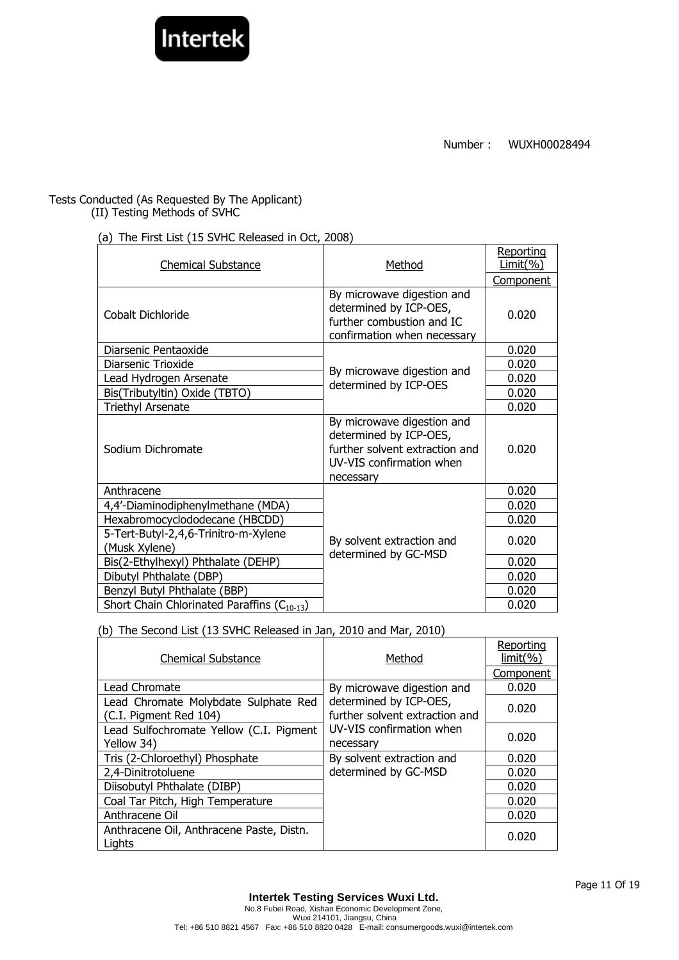

# Tests Conducted (As Requested By The Applicant)

(II) Testing Methods of SVHC

# (a) The First List (15 SVHC Released in Oct, 2008)

| <b>Chemical Substance</b>                               | Method                                                                                                                          | Reporting<br>Limit( %) |
|---------------------------------------------------------|---------------------------------------------------------------------------------------------------------------------------------|------------------------|
|                                                         |                                                                                                                                 | Component              |
| Cobalt Dichloride                                       | By microwave digestion and<br>determined by ICP-OES,<br>further combustion and IC<br>confirmation when necessary                | 0.020                  |
| Diarsenic Pentaoxide                                    |                                                                                                                                 | 0.020                  |
| Diarsenic Trioxide                                      | By microwave digestion and                                                                                                      | 0.020                  |
| Lead Hydrogen Arsenate                                  | determined by ICP-OES                                                                                                           | 0.020                  |
| Bis(Tributyltin) Oxide (TBTO)                           |                                                                                                                                 | 0.020                  |
| <b>Triethyl Arsenate</b>                                |                                                                                                                                 | 0.020                  |
| Sodium Dichromate                                       | By microwave digestion and<br>determined by ICP-OES,<br>further solvent extraction and<br>UV-VIS confirmation when<br>necessary | 0.020                  |
| Anthracene                                              |                                                                                                                                 | 0.020                  |
| 4,4'-Diaminodiphenylmethane (MDA)                       |                                                                                                                                 | 0.020                  |
| Hexabromocyclododecane (HBCDD)                          |                                                                                                                                 | 0.020                  |
| 5-Tert-Butyl-2,4,6-Trinitro-m-Xylene<br>(Musk Xylene)   | By solvent extraction and<br>determined by GC-MSD                                                                               | 0.020                  |
| Bis(2-Ethylhexyl) Phthalate (DEHP)                      |                                                                                                                                 | 0.020                  |
| Dibutyl Phthalate (DBP)                                 |                                                                                                                                 | 0.020                  |
| Benzyl Butyl Phthalate (BBP)                            |                                                                                                                                 | 0.020                  |
| Short Chain Chlorinated Paraffins (C <sub>10-13</sub> ) |                                                                                                                                 | 0.020                  |

(b) The Second List (13 SVHC Released in Jan, 2010 and Mar, 2010)

| <b>Chemical Substance</b>                                      | Method                                                   | Reporting<br>$limit(\% )$ |
|----------------------------------------------------------------|----------------------------------------------------------|---------------------------|
|                                                                |                                                          | Component                 |
| Lead Chromate                                                  | By microwave digestion and                               | 0.020                     |
| Lead Chromate Molybdate Sulphate Red<br>(C.I. Pigment Red 104) | determined by ICP-OES,<br>further solvent extraction and | 0.020                     |
| Lead Sulfochromate Yellow (C.I. Pigment<br>Yellow 34)          | UV-VIS confirmation when<br>necessary                    | 0.020                     |
| Tris (2-Chloroethyl) Phosphate                                 | By solvent extraction and                                | 0.020                     |
| 2,4-Dinitrotoluene                                             | determined by GC-MSD                                     | 0.020                     |
| Diisobutyl Phthalate (DIBP)                                    |                                                          | 0.020                     |
| Coal Tar Pitch, High Temperature                               |                                                          | 0.020                     |
| Anthracene Oil                                                 |                                                          | 0.020                     |
| Anthracene Oil, Anthracene Paste, Distn.<br>Lights             |                                                          | 0.020                     |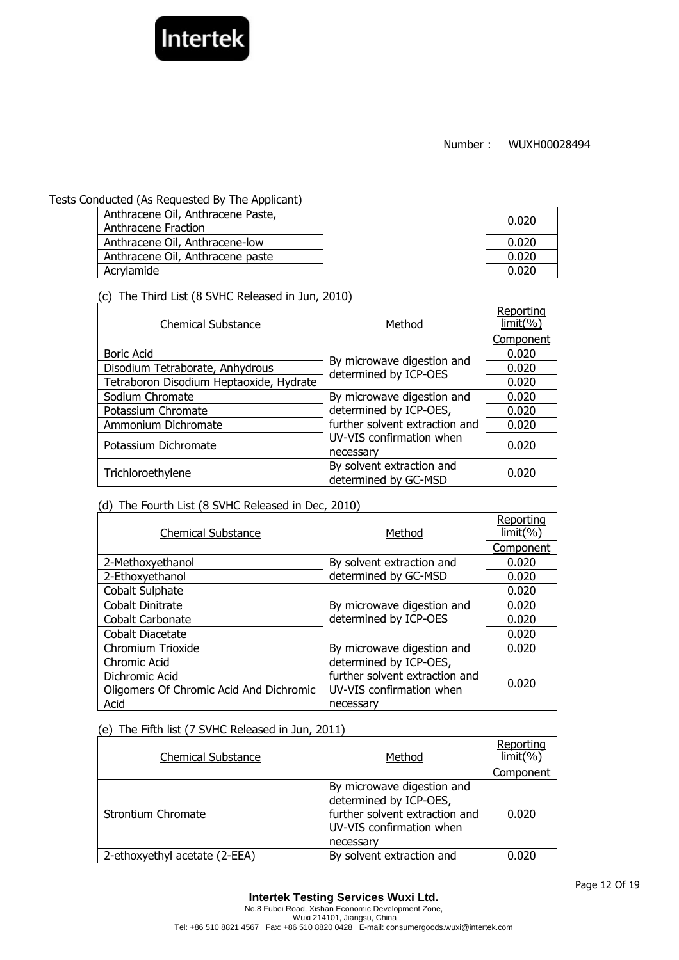

#### Tests Conducted (As Requested By The Applicant)

| Anthracene Oil, Anthracene Paste,<br>Anthracene Fraction | 0.020 |
|----------------------------------------------------------|-------|
| Anthracene Oil, Anthracene-low                           | 0.020 |
| Anthracene Oil, Anthracene paste                         | 0.020 |
| Acrylamide                                               | 0.020 |

(c) The Third List (8 SVHC Released in Jun, 2010)

| <b>Chemical Substance</b>               | Method                                              | Reporting<br>limit( %) |
|-----------------------------------------|-----------------------------------------------------|------------------------|
|                                         |                                                     | Component              |
| <b>Boric Acid</b>                       |                                                     | 0.020                  |
| Disodium Tetraborate, Anhydrous         | By microwave digestion and<br>determined by ICP-OES | 0.020                  |
| Tetraboron Disodium Heptaoxide, Hydrate |                                                     | 0.020                  |
| Sodium Chromate                         | By microwave digestion and                          | 0.020                  |
| Potassium Chromate                      | determined by ICP-OES,                              | 0.020                  |
| Ammonium Dichromate                     | further solvent extraction and                      | 0.020                  |
| Potassium Dichromate                    | UV-VIS confirmation when<br>necessary               | 0.020                  |
| Trichloroethylene                       | By solvent extraction and<br>determined by GC-MSD   | 0.020                  |

# (d) The Fourth List (8 SVHC Released in Dec, 2010)

| <b>Chemical Substance</b>               | Method                                              | Reporting<br>limit( %) |
|-----------------------------------------|-----------------------------------------------------|------------------------|
|                                         |                                                     | Component              |
| 2-Methoxyethanol                        | By solvent extraction and                           | 0.020                  |
| 2-Ethoxyethanol                         | determined by GC-MSD                                | 0.020                  |
| Cobalt Sulphate                         |                                                     | 0.020                  |
| Cobalt Dinitrate                        | By microwave digestion and<br>determined by ICP-OES | 0.020                  |
| Cobalt Carbonate                        |                                                     | 0.020                  |
| Cobalt Diacetate                        |                                                     | 0.020                  |
| Chromium Trioxide                       | By microwave digestion and                          | 0.020                  |
| Chromic Acid                            | determined by ICP-OES,                              |                        |
| Dichromic Acid                          | further solvent extraction and                      | 0.020                  |
| Oligomers Of Chromic Acid And Dichromic | UV-VIS confirmation when                            |                        |
| Acid                                    | necessary                                           |                        |

# (e) The Fifth list (7 SVHC Released in Jun, 2011)

| <b>Chemical Substance</b>     | Method                                                                                                                          | Reporting<br>limit(% |
|-------------------------------|---------------------------------------------------------------------------------------------------------------------------------|----------------------|
|                               |                                                                                                                                 | Component            |
| Strontium Chromate            | By microwave digestion and<br>determined by ICP-OES,<br>further solvent extraction and<br>UV-VIS confirmation when<br>necessary | 0.020                |
| 2-ethoxyethyl acetate (2-EEA) | By solvent extraction and                                                                                                       | 0.020                |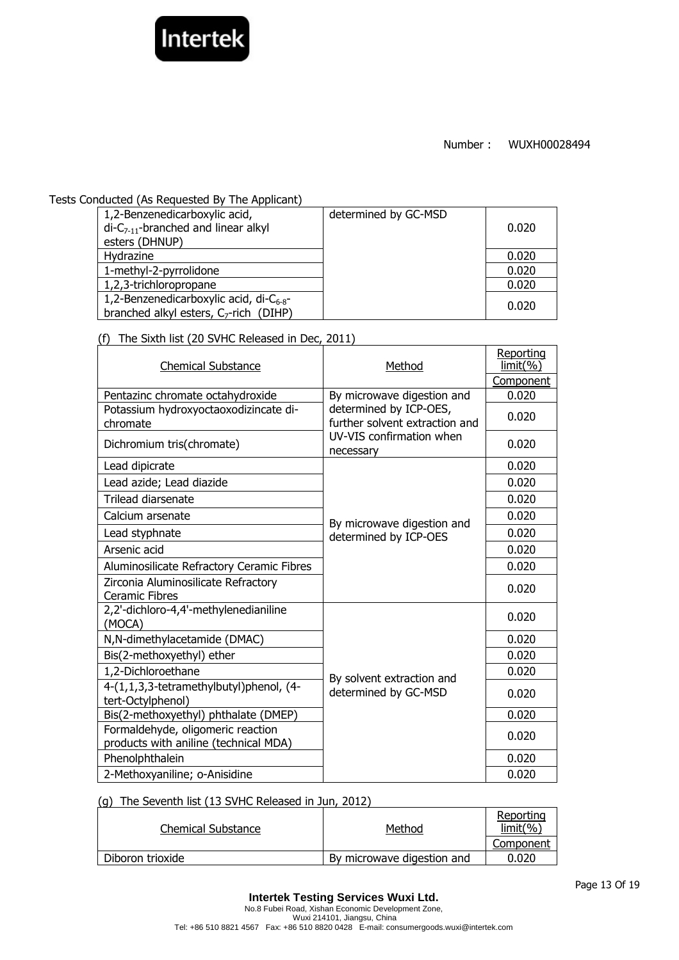

#### Tests Conducted (As Requested By The Applicant)

| 1,2-Benzenedicarboxylic acid,<br>$di-C_{7-11}$ -branched and linear alkyl<br>esters (DHNUP)         | determined by GC-MSD | 0.020 |
|-----------------------------------------------------------------------------------------------------|----------------------|-------|
| Hydrazine                                                                                           |                      | 0.020 |
| 1-methyl-2-pyrrolidone                                                                              |                      | 0.020 |
| 1,2,3-trichloropropane                                                                              |                      | 0.020 |
| 1,2-Benzenedicarboxylic acid, di- $C_{6-8}$ -<br>branched alkyl esters, C <sub>7</sub> -rich (DIHP) |                      | 0.020 |

(f) The Sixth list (20 SVHC Released in Dec, 2011)

| THE JIANT HSL (20 JVTIC REJEASED IN DEC, 2011)                             |                                                          |                        |
|----------------------------------------------------------------------------|----------------------------------------------------------|------------------------|
| <b>Chemical Substance</b>                                                  | Method                                                   | Reporting<br>limit( %) |
|                                                                            |                                                          | Component              |
| Pentazinc chromate octahydroxide                                           | By microwave digestion and                               | 0.020                  |
| Potassium hydroxyoctaoxodizincate di-<br>chromate                          | determined by ICP-OES,<br>further solvent extraction and | 0.020                  |
| Dichromium tris(chromate)                                                  | UV-VIS confirmation when<br>necessary                    | 0.020                  |
| Lead dipicrate                                                             |                                                          | 0.020                  |
| Lead azide; Lead diazide                                                   |                                                          | 0.020                  |
| Trilead diarsenate                                                         |                                                          | 0.020                  |
| Calcium arsenate                                                           |                                                          | 0.020                  |
| Lead styphnate                                                             | By microwave digestion and<br>determined by ICP-OES      | 0.020                  |
| Arsenic acid                                                               |                                                          | 0.020                  |
| Aluminosilicate Refractory Ceramic Fibres                                  |                                                          | 0.020                  |
| Zirconia Aluminosilicate Refractory<br><b>Ceramic Fibres</b>               |                                                          | 0.020                  |
| 2,2'-dichloro-4,4'-methylenedianiline<br>(MOCA)                            |                                                          | 0.020                  |
| N, N-dimethylacetamide (DMAC)                                              |                                                          | 0.020                  |
| Bis(2-methoxyethyl) ether                                                  |                                                          | 0.020                  |
| 1,2-Dichloroethane                                                         |                                                          | 0.020                  |
| 4-(1,1,3,3-tetramethylbutyl)phenol, (4-<br>tert-Octylphenol)               | By solvent extraction and<br>determined by GC-MSD        | 0.020                  |
| Bis(2-methoxyethyl) phthalate (DMEP)                                       |                                                          | 0.020                  |
| Formaldehyde, oligomeric reaction<br>products with aniline (technical MDA) |                                                          | 0.020                  |
| Phenolphthalein                                                            |                                                          | 0.020                  |
| 2-Methoxyaniline; o-Anisidine                                              |                                                          | 0.020                  |

#### (g) The Seventh list (13 SVHC Released in Jun, 2012)

| Chemical Substance | Method                     | Reporting<br>$limit(\% )$ |
|--------------------|----------------------------|---------------------------|
|                    |                            | Component                 |
| Diboron trioxide   | By microwave digestion and | 0.020                     |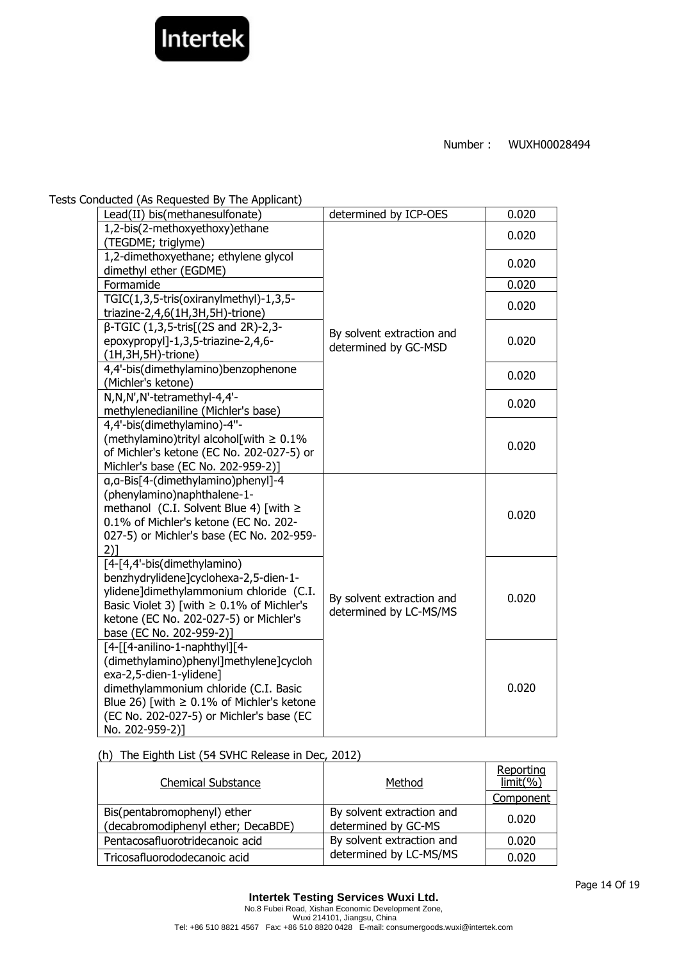

Tests Conducted (As Requested By The Applicant)

| Lead(II) bis(methanesulfonate)                                     | determined by ICP-OES     | 0.020 |
|--------------------------------------------------------------------|---------------------------|-------|
| 1,2-bis(2-methoxyethoxy)ethane                                     |                           | 0.020 |
| (TEGDME; triglyme)                                                 |                           |       |
| 1,2-dimethoxyethane; ethylene glycol                               |                           | 0.020 |
| dimethyl ether (EGDME)                                             |                           |       |
| Formamide                                                          |                           | 0.020 |
| TGIC(1,3,5-tris(oxiranylmethyl)-1,3,5-                             |                           | 0.020 |
| triazine-2,4,6(1H,3H,5H)-trione)                                   |                           |       |
| β-TGIC (1,3,5-tris[(2S and 2R)-2,3-                                | By solvent extraction and |       |
| epoxypropyl]-1,3,5-triazine-2,4,6-                                 | determined by GC-MSD      | 0.020 |
| $(1H, 3H, 5H)$ -trione)                                            |                           |       |
| 4,4'-bis(dimethylamino)benzophenone                                |                           | 0.020 |
| (Michler's ketone)                                                 |                           |       |
| N,N,N',N'-tetramethyl-4,4'-                                        |                           | 0.020 |
| methylenedianiline (Michler's base)                                |                           |       |
| 4,4'-bis(dimethylamino)-4"-                                        |                           |       |
| (methylamino)trityl alcohol[with $\geq 0.1\%$                      |                           | 0.020 |
| of Michler's ketone (EC No. 202-027-5) or                          |                           |       |
| Michler's base (EC No. 202-959-2)]                                 |                           |       |
| q, a-Bis[4-(dimethylamino)phenyl]-4<br>(phenylamino)naphthalene-1- |                           |       |
| methanol (C.I. Solvent Blue 4) [with $\ge$                         |                           |       |
| 0.1% of Michler's ketone (EC No. 202-                              |                           | 0.020 |
| 027-5) or Michler's base (EC No. 202-959-                          |                           |       |
| 2)1                                                                |                           |       |
| [4-[4,4'-bis(dimethylamino)                                        |                           |       |
| benzhydrylidene]cyclohexa-2,5-dien-1-                              |                           |       |
| ylidene]dimethylammonium chloride (C.I.                            |                           |       |
| Basic Violet 3) [with $\geq 0.1\%$ of Michler's                    | By solvent extraction and | 0.020 |
| ketone (EC No. 202-027-5) or Michler's                             | determined by LC-MS/MS    |       |
| base (EC No. 202-959-2)]                                           |                           |       |
| [4-[[4-anilino-1-naphthyl][4-                                      |                           |       |
| (dimethylamino)phenyl]methylene]cycloh                             |                           |       |
| exa-2,5-dien-1-ylidene]                                            |                           |       |
| dimethylammonium chloride (C.I. Basic                              |                           | 0.020 |
| Blue 26) [with $\geq 0.1\%$ of Michler's ketone                    |                           |       |
| (EC No. 202-027-5) or Michler's base (EC                           |                           |       |
| No. 202-959-2)]                                                    |                           |       |

(h) The Eighth List (54 SVHC Release in Dec, 2012)

| <b>Chemical Substance</b>                                         | Method                                           | Reporting<br>$limit(\% )$ |
|-------------------------------------------------------------------|--------------------------------------------------|---------------------------|
|                                                                   |                                                  | Component                 |
| Bis(pentabromophenyl) ether<br>(decabromodiphenyl ether; DecaBDE) | By solvent extraction and<br>determined by GC-MS | 0.020                     |
| Pentacosafluorotridecanoic acid                                   | By solvent extraction and                        | 0.020                     |
| Tricosafluorododecanoic acid                                      | determined by LC-MS/MS                           | 0.020                     |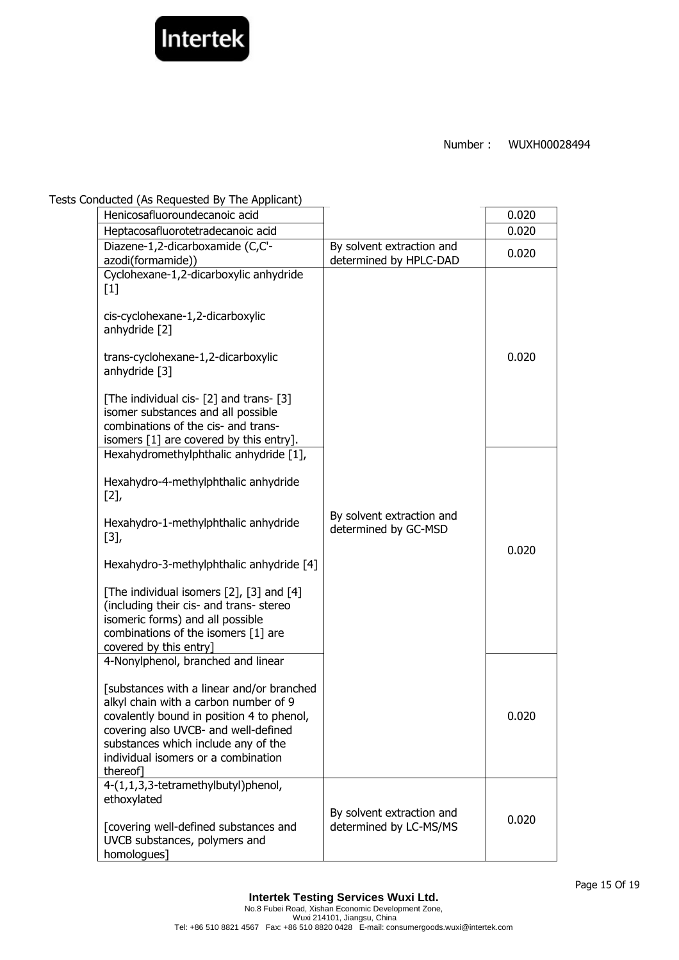

#### Tests Conducted (As Requested By The Applicant)

| Henicosafluoroundecanoic acid                                                                                                                                                                                                                                                                                                                                                   |                                                     | 0.020 |
|---------------------------------------------------------------------------------------------------------------------------------------------------------------------------------------------------------------------------------------------------------------------------------------------------------------------------------------------------------------------------------|-----------------------------------------------------|-------|
| Heptacosafluorotetradecanoic acid                                                                                                                                                                                                                                                                                                                                               |                                                     | 0.020 |
| Diazene-1,2-dicarboxamide (C,C'-<br>azodi(formamide))                                                                                                                                                                                                                                                                                                                           | By solvent extraction and<br>determined by HPLC-DAD | 0.020 |
| Cyclohexane-1,2-dicarboxylic anhydride<br>$[1]$<br>cis-cyclohexane-1,2-dicarboxylic<br>anhydride [2]<br>trans-cyclohexane-1,2-dicarboxylic<br>anhydride [3]<br>[The individual cis- [2] and trans- [3]<br>isomer substances and all possible<br>combinations of the cis- and trans-<br>isomers [1] are covered by this entry].                                                  |                                                     | 0.020 |
| Hexahydromethylphthalic anhydride [1],<br>Hexahydro-4-methylphthalic anhydride<br>[2]<br>Hexahydro-1-methylphthalic anhydride<br>$[3],$<br>Hexahydro-3-methylphthalic anhydride [4]<br>[The individual isomers [2], [3] and [4]<br>(including their cis- and trans- stereo<br>isomeric forms) and all possible<br>combinations of the isomers [1] are<br>covered by this entry] | By solvent extraction and<br>determined by GC-MSD   | 0.020 |
| 4-Nonylphenol, branched and linear<br>[substances with a linear and/or branched<br>alkyl chain with a carbon number of 9<br>covalently bound in position 4 to phenol,<br>covering also UVCB- and well-defined<br>substances which include any of the<br>individual isomers or a combination<br>thereof]                                                                         |                                                     | 0.020 |
| 4-(1,1,3,3-tetramethylbutyl)phenol,<br>ethoxylated<br>[covering well-defined substances and<br>UVCB substances, polymers and<br>homologues]                                                                                                                                                                                                                                     | By solvent extraction and<br>determined by LC-MS/MS | 0.020 |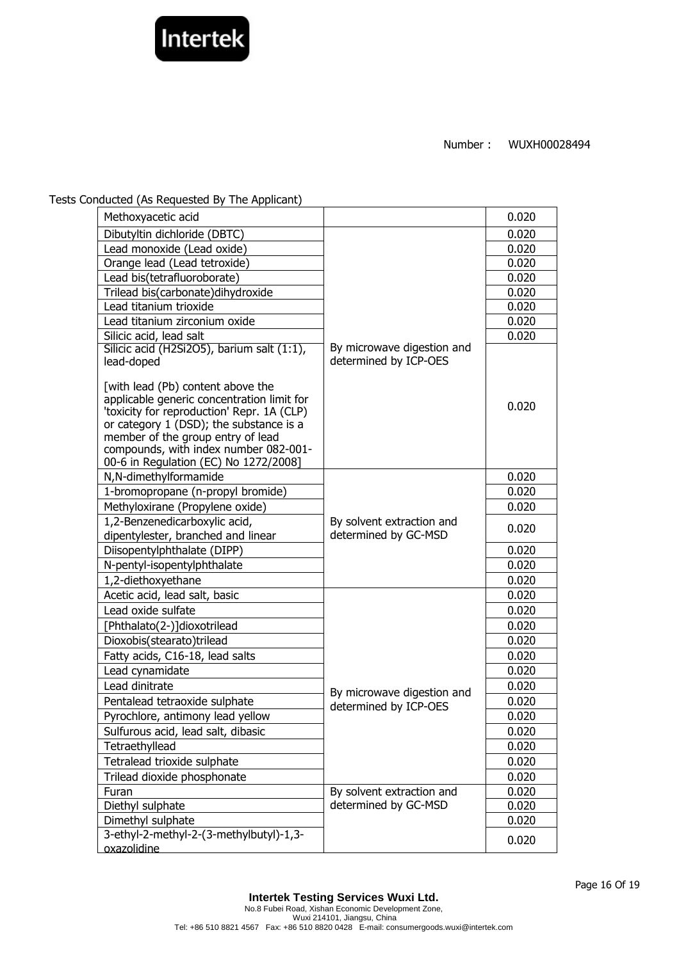

Tests Conducted (As Requested By The Applicant)

| Methoxyacetic acid                                                                                                                                                                                                                                                                              |                                                     | 0.020 |
|-------------------------------------------------------------------------------------------------------------------------------------------------------------------------------------------------------------------------------------------------------------------------------------------------|-----------------------------------------------------|-------|
| Dibutyltin dichloride (DBTC)                                                                                                                                                                                                                                                                    |                                                     | 0.020 |
| Lead monoxide (Lead oxide)                                                                                                                                                                                                                                                                      |                                                     | 0.020 |
| Orange lead (Lead tetroxide)                                                                                                                                                                                                                                                                    |                                                     | 0.020 |
| Lead bis(tetrafluoroborate)                                                                                                                                                                                                                                                                     |                                                     | 0.020 |
| Trilead bis(carbonate)dihydroxide                                                                                                                                                                                                                                                               |                                                     | 0.020 |
| Lead titanium trioxide                                                                                                                                                                                                                                                                          |                                                     | 0.020 |
| Lead titanium zirconium oxide                                                                                                                                                                                                                                                                   |                                                     | 0.020 |
| Silicic acid, lead salt                                                                                                                                                                                                                                                                         |                                                     | 0.020 |
| Silicic acid (H2Si2O5), barium salt (1:1),<br>lead-doped                                                                                                                                                                                                                                        | By microwave digestion and<br>determined by ICP-OES |       |
| [with lead (Pb) content above the<br>applicable generic concentration limit for<br>'toxicity for reproduction' Repr. 1A (CLP)<br>or category 1 (DSD); the substance is a<br>member of the group entry of lead<br>compounds, with index number 082-001-<br>00-6 in Regulation (EC) No 1272/2008] |                                                     | 0.020 |
| N,N-dimethylformamide                                                                                                                                                                                                                                                                           |                                                     | 0.020 |
| 1-bromopropane (n-propyl bromide)                                                                                                                                                                                                                                                               |                                                     | 0.020 |
| Methyloxirane (Propylene oxide)                                                                                                                                                                                                                                                                 |                                                     | 0.020 |
| 1,2-Benzenedicarboxylic acid,<br>dipentylester, branched and linear                                                                                                                                                                                                                             | By solvent extraction and<br>determined by GC-MSD   | 0.020 |
| Diisopentylphthalate (DIPP)                                                                                                                                                                                                                                                                     |                                                     | 0.020 |
| N-pentyl-isopentylphthalate                                                                                                                                                                                                                                                                     |                                                     | 0.020 |
| 1,2-diethoxyethane                                                                                                                                                                                                                                                                              |                                                     | 0.020 |
| Acetic acid, lead salt, basic                                                                                                                                                                                                                                                                   |                                                     | 0.020 |
| Lead oxide sulfate                                                                                                                                                                                                                                                                              |                                                     | 0.020 |
| [Phthalato(2-)]dioxotrilead                                                                                                                                                                                                                                                                     |                                                     | 0.020 |
| Dioxobis(stearato)trilead                                                                                                                                                                                                                                                                       |                                                     | 0.020 |
| Fatty acids, C16-18, lead salts                                                                                                                                                                                                                                                                 |                                                     | 0.020 |
| Lead cynamidate                                                                                                                                                                                                                                                                                 |                                                     | 0.020 |
| Lead dinitrate                                                                                                                                                                                                                                                                                  | By microwave digestion and                          | 0.020 |
| Pentalead tetraoxide sulphate                                                                                                                                                                                                                                                                   | determined by ICP-OES                               | 0.020 |
| Pyrochlore, antimony lead yellow                                                                                                                                                                                                                                                                |                                                     | 0.020 |
| Sulfurous acid, lead salt, dibasic                                                                                                                                                                                                                                                              |                                                     | 0.020 |
| Tetraethyllead                                                                                                                                                                                                                                                                                  |                                                     | 0.020 |
| Tetralead trioxide sulphate                                                                                                                                                                                                                                                                     |                                                     | 0.020 |
| Trilead dioxide phosphonate                                                                                                                                                                                                                                                                     |                                                     | 0.020 |
| Furan                                                                                                                                                                                                                                                                                           | By solvent extraction and                           | 0.020 |
| Diethyl sulphate                                                                                                                                                                                                                                                                                | determined by GC-MSD                                | 0.020 |
| Dimethyl sulphate                                                                                                                                                                                                                                                                               |                                                     | 0.020 |
| 3-ethyl-2-methyl-2-(3-methylbutyl)-1,3-                                                                                                                                                                                                                                                         |                                                     | 0.020 |
| oxazolidine                                                                                                                                                                                                                                                                                     |                                                     |       |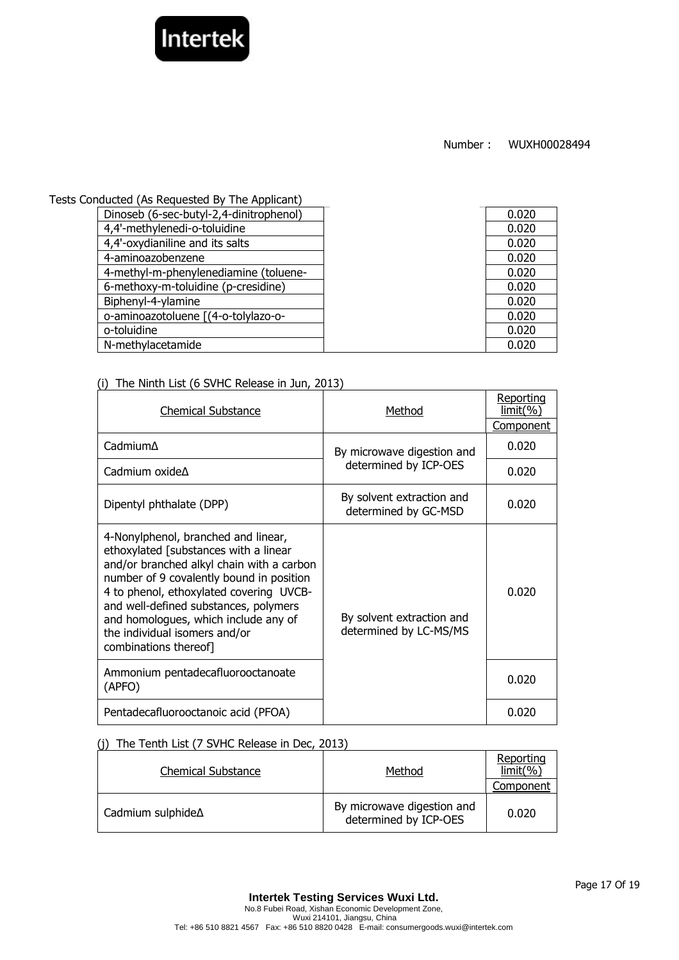

Tests Conducted (As Requested By The Applicant)

| Dinoseb (6-sec-butyl-2,4-dinitrophenol) | 0.020 |
|-----------------------------------------|-------|
| 4,4'-methylenedi-o-toluidine            | 0.020 |
| 4,4'-oxydianiline and its salts         | 0.020 |
| 4-aminoazobenzene                       | 0.020 |
| 4-methyl-m-phenylenediamine (toluene-   | 0.020 |
| 6-methoxy-m-toluidine (p-cresidine)     | 0.020 |
| Biphenyl-4-ylamine                      | 0.020 |
| o-aminoazotoluene [(4-o-tolylazo-o-     | 0.020 |
| o-toluidine                             | 0.020 |
| N-methylacetamide                       | 0.020 |
|                                         |       |

# (i) The Ninth List (6 SVHC Release in Jun, 2013)

| <b>Chemical Substance</b>                                                                                                                                                                                                                                                                                                                                   | Method                                              | Reporting<br><u>limit(%)</u> |
|-------------------------------------------------------------------------------------------------------------------------------------------------------------------------------------------------------------------------------------------------------------------------------------------------------------------------------------------------------------|-----------------------------------------------------|------------------------------|
|                                                                                                                                                                                                                                                                                                                                                             |                                                     | <b>Component</b>             |
| Cadmium∆                                                                                                                                                                                                                                                                                                                                                    | By microwave digestion and                          | 0.020                        |
| Cadmium oxide $\Delta$                                                                                                                                                                                                                                                                                                                                      | determined by ICP-OES                               | 0.020                        |
| Dipentyl phthalate (DPP)                                                                                                                                                                                                                                                                                                                                    | By solvent extraction and<br>determined by GC-MSD   | 0.020                        |
| 4-Nonylphenol, branched and linear,<br>ethoxylated [substances with a linear<br>and/or branched alkyl chain with a carbon<br>number of 9 covalently bound in position<br>4 to phenol, ethoxylated covering UVCB-<br>and well-defined substances, polymers<br>and homologues, which include any of<br>the individual isomers and/or<br>combinations thereof] | By solvent extraction and<br>determined by LC-MS/MS | 0.020                        |
| Ammonium pentadecafluorooctanoate<br>(APFO)                                                                                                                                                                                                                                                                                                                 |                                                     | 0.020                        |
| Pentadecafluorooctanoic acid (PFOA)                                                                                                                                                                                                                                                                                                                         |                                                     | 0.020                        |

# (j) The Tenth List (7 SVHC Release in Dec, 2013)

| <b>Chemical Substance</b> | Method                                              | Reporting<br>limit(%) |
|---------------------------|-----------------------------------------------------|-----------------------|
|                           |                                                     | Component             |
| Cadmium sulphide $\Delta$ | By microwave digestion and<br>determined by ICP-OES | 0.020                 |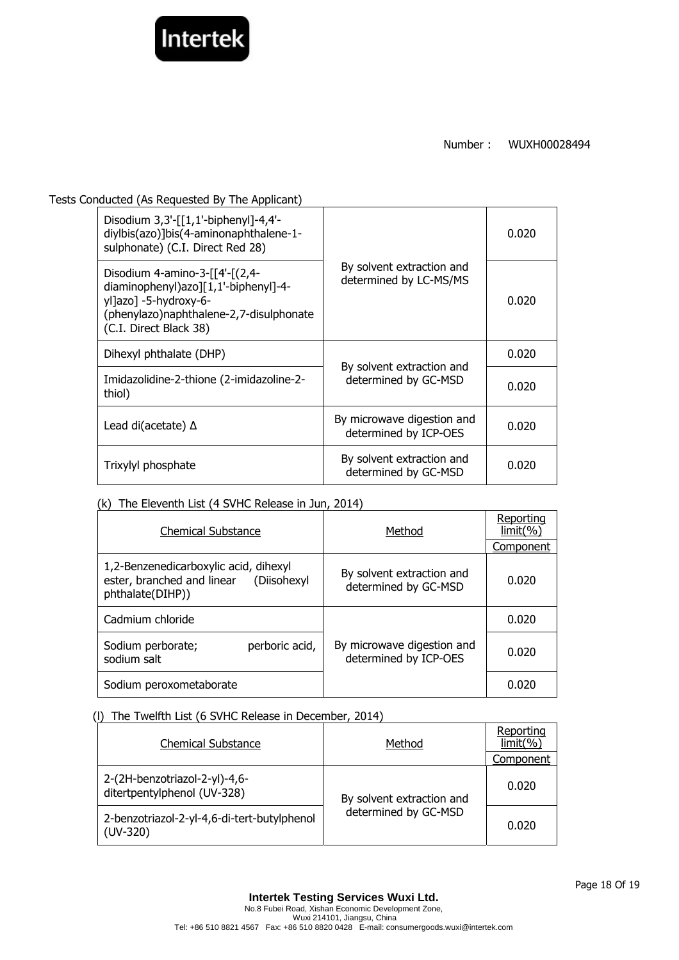

Tests Conducted (As Requested By The Applicant)

| Disodium $3,3'$ -[[1,1'-biphenyl]-4,4'-<br>diylbis(azo)]bis(4-aminonaphthalene-1-<br>sulphonate) (C.I. Direct Red 28)                                                  | By solvent extraction and<br>determined by LC-MS/MS | 0.020 |
|------------------------------------------------------------------------------------------------------------------------------------------------------------------------|-----------------------------------------------------|-------|
| Disodium 4-amino-3- $[4-(2,4-$<br>diaminophenyl)azo][1,1'-biphenyl]-4-<br>yl]azo] -5-hydroxy-6-<br>(phenylazo) naphthalene-2, 7-disulphonate<br>(C.I. Direct Black 38) |                                                     | 0.020 |
| Dihexyl phthalate (DHP)                                                                                                                                                | By solvent extraction and<br>determined by GC-MSD   | 0.020 |
| Imidazolidine-2-thione (2-imidazoline-2-<br>thiol)                                                                                                                     |                                                     | 0.020 |
| Lead di(acetate) $\Delta$                                                                                                                                              | By microwave digestion and<br>determined by ICP-OES | 0.020 |
| Trixylyl phosphate                                                                                                                                                     | By solvent extraction and<br>determined by GC-MSD   | 0.020 |

## (k) The Eleventh List (4 SVHC Release in Jun, 2014)

| <b>Chemical Substance</b>                                                                           | Method                                              | Reporting<br>$limit(\% )$ |
|-----------------------------------------------------------------------------------------------------|-----------------------------------------------------|---------------------------|
|                                                                                                     |                                                     | Component                 |
| 1,2-Benzenedicarboxylic acid, dihexyl<br>ester, branched and linear (Diisohexyl<br>phthalate(DIHP)) | By solvent extraction and<br>determined by GC-MSD   | 0.020                     |
| Cadmium chloride                                                                                    |                                                     | 0.020                     |
| perboric acid,<br>Sodium perborate;<br>sodium salt                                                  | By microwave digestion and<br>determined by ICP-OES | 0.020                     |
| Sodium peroxometaborate                                                                             |                                                     | 0.020                     |

## (l) The Twelfth List (6 SVHC Release in December, 2014)

| <b>Chemical Substance</b>                                    | Method                                            | Reporting<br>limit(%) |
|--------------------------------------------------------------|---------------------------------------------------|-----------------------|
|                                                              |                                                   | Component             |
| 2-(2H-benzotriazol-2-yl)-4,6-<br>ditertpentylphenol (UV-328) | By solvent extraction and<br>determined by GC-MSD | 0.020                 |
| 2-benzotriazol-2-yl-4,6-di-tert-butylphenol<br>$(UV-320)$    |                                                   | 0.020                 |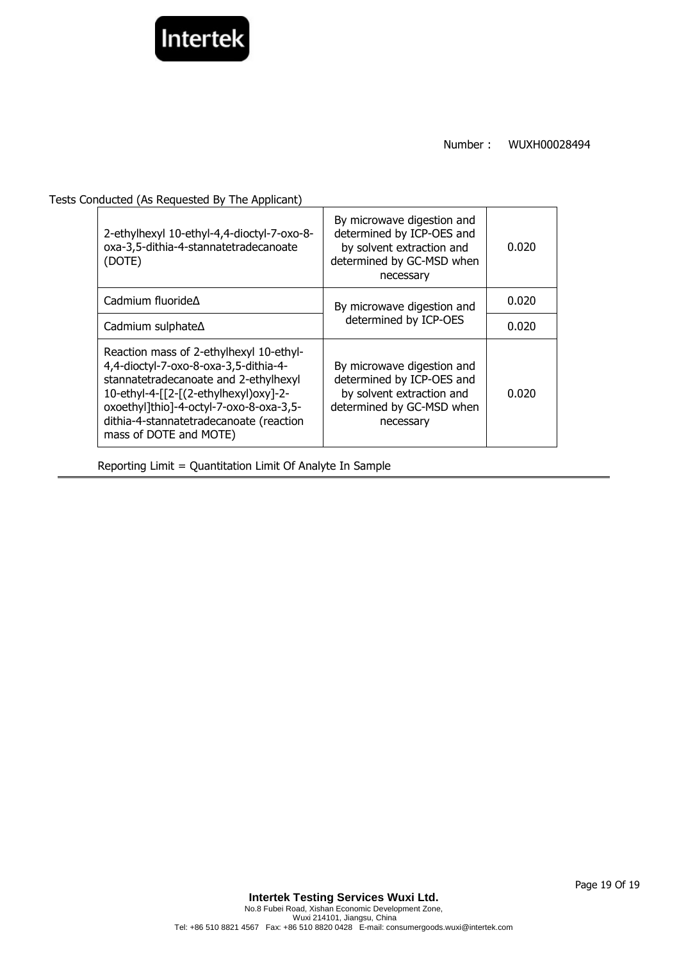

Tests Conducted (As Requested By The Applicant)

| 2-ethylhexyl 10-ethyl-4,4-dioctyl-7-oxo-8-<br>oxa-3,5-dithia-4-stannatetradecanoate<br>(DOTE)                                                                                                                                                                                      | By microwave digestion and<br>determined by ICP-OES and<br>by solvent extraction and<br>determined by GC-MSD when<br>necessary | 0.020 |
|------------------------------------------------------------------------------------------------------------------------------------------------------------------------------------------------------------------------------------------------------------------------------------|--------------------------------------------------------------------------------------------------------------------------------|-------|
| Cadmium fluoride $\Delta$                                                                                                                                                                                                                                                          | By microwave digestion and<br>determined by ICP-OES                                                                            | 0.020 |
| Cadmium sulphate∆                                                                                                                                                                                                                                                                  |                                                                                                                                | 0.020 |
| Reaction mass of 2-ethylhexyl 10-ethyl-<br>4,4-dioctyl-7-oxo-8-oxa-3,5-dithia-4-<br>stannatetradecanoate and 2-ethylhexyl<br>10-ethyl-4-[[2-[(2-ethylhexyl)oxy]-2-<br>oxoethyl]thio]-4-octyl-7-oxo-8-oxa-3,5-<br>dithia-4-stannatetradecanoate (reaction<br>mass of DOTE and MOTE) | By microwave digestion and<br>determined by ICP-OES and<br>by solvent extraction and<br>determined by GC-MSD when<br>necessary | 0.020 |

Reporting Limit = Quantitation Limit Of Analyte In Sample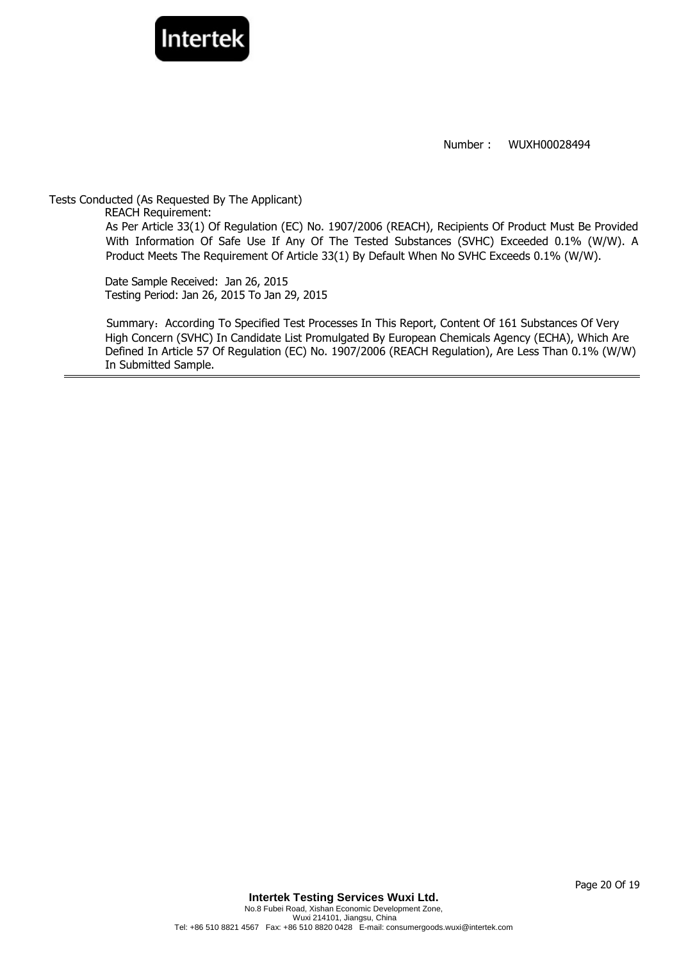

Tests Conducted (As Requested By The Applicant) REACH Requirement: As Per Article 33(1) Of Regulation (EC) No. 1907/2006 (REACH), Recipients Of Product Must Be Provided With Information Of Safe Use If Any Of The Tested Substances (SVHC) Exceeded 0.1% (W/W). A Product Meets The Requirement Of Article 33(1) By Default When No SVHC Exceeds 0.1% (W/W).

Date Sample Received: Jan 26, 2015 Testing Period: Jan 26, 2015 To Jan 29, 2015

Summary: According To Specified Test Processes In This Report, Content Of 161 Substances Of Very High Concern (SVHC) In Candidate List Promulgated By European Chemicals Agency (ECHA), Which Are Defined In Article 57 Of Regulation (EC) No. 1907/2006 (REACH Regulation), Are Less Than 0.1% (W/W) In Submitted Sample.